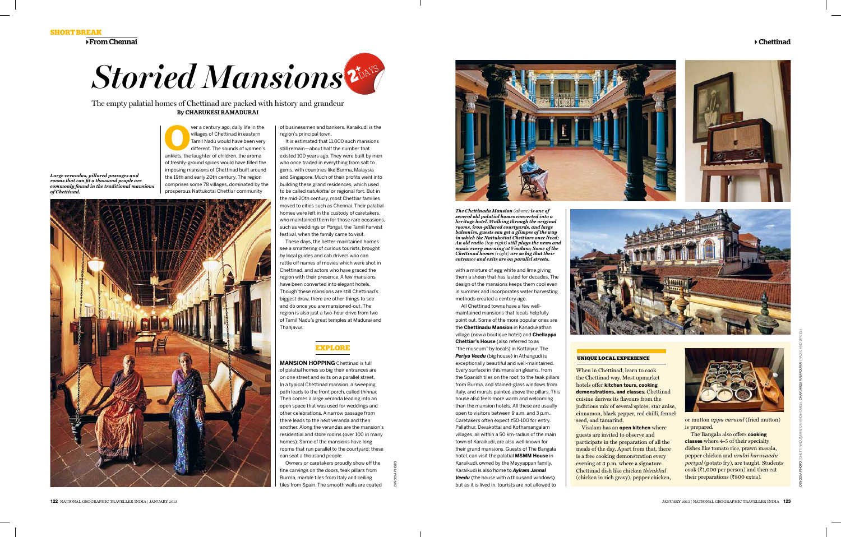**Short break**

 $\rightarrow$  From Chennai

**O**ver a century ago, daily life in the villages of Chettinad in eastern<br>
Tamil Nadu would have been very<br>
different. The sounds of women's<br>
anklets, the laughter of children, the aroma villages of Chettinad in eastern Tamil Nadu would have been very different. The sounds of women's of freshly-ground spices would have filled the imposing mansions of Chettinad built around the 19th and early 20th century. The region comprises some 78 villages, dominated by the prosperous Nattukotai Chettiar community

of businessmen and bankers. Karaikudi is the region's principal town.

It is estimated that 11,000 such mansions still remain—about half the number that existed 100 years ago. They were built by men who once traded in everything from salt to gems, with countries like Burma, Malaysia and Singapore. Much of their profits went into building these grand residences, which used to be called *natukottai* or regional fort. But in the mid-20th century, most Chettiar families moved to cities such as Chennai. Their palatial homes were left in the custody of caretakers, who maintained them for those rare occasions, such as weddings or Pongal, the Tamil harvest festival, when the family came to visit.

These days, the better-maintained homes see a smattering of curious tourists, brought by local guides and cab drivers who can rattle off names of movies which were shot in Chettinad, and actors who have graced the region with their presence. A few mansions have been converted into elegant hotels. Though these mansions are still Chettinad's biggest draw, there are other things to see and do once you are mansioned-out. The region is also just a two-hour drive from two of Tamil Nadu's great temples at Madurai and Thanjavur.

# **Explore**

The Bangala also offers **cooking classes** where 4-5 of their specialty dishes like tomato rice, prawn masala, pepper chicken and *urulai karuvaadu poriyal* (potato fry), are taught. Students cook ( $\bar{\tau}$ 1,000 per person) and then eat their preparations ( $\overline{\xi}800$  extra).

**MANSION HOPPING** Chettinad is full of palatial homes so big their entrances are on one street and exits on a parallel street. In a typical Chettinad mansion, a sweeping path leads to the front porch, called *thinnai.*  Then comes a large veranda leading into an open space that was used for weddings and other celebrations. A narrow passage from there leads to the next veranda and then another. Along the verandas are the mansion's residential and store rooms (over 100 in many homes). Some of the mansions have long rooms that run parallel to the courtyard; these can seat a thousand people.

Owners or caretakers proudly show off the fine carvings on the doors, teak pillars from Burma, marble tiles from Italy and ceiling tiles from Spain. The smooth walls are coated

DINODIA PHOTO





The empty palatial homes of Chettinad are packed with history and grandeur By Charukesi Ramadurai

> *The Chettinadu Mansion (above) is one of several old palatial homes converted into a heritage hotel. Walking through the original rooms, iron-pillared courtyards, and large balconies, guests can get a glimpse of the way in which the Nattukottai Chettiars once lived; An old radio (top right) still plays the news and music every morning at Visalam; Some of the Chettinad homes (right) are so big that their entrance and exits are on parallel streets.*

### **UNIQUE LOCAL EXPERIENCE**



When in Chettinad, learn to cook the Chettinad way. Most upmarket hotels offer **kitchen tours, cooking demonstrations, and classes.** Chettinad cuisine derives its flavours from the judicious mix of several spices: star anise, cinnamon, black pepper, red chilli, fennel seed, and tamarind. Visalam has an **open kitchen** where guests are invited to observe and participate in the preparation of all the meals of the day. Apart from that, there is a free cooking demonstration every evening at 3 p.m. where a signature Chettinad dish like chicken *thirakkal* (chicken in rich gravy), pepper chicken,





or mutton *uppu varuval* (fried mutton) is prepared.

with a mixture of egg white and lime giving them a sheen that has lasted for decades. The design of the mansions keeps them cool even in summer and incorporates water harvesting methods created a century ago.

All Chettinad towns have a few wellmaintained mansions that locals helpfully point out. Some of the more popular ones are the **Chettinadu Mansion** in Kanadukathan village (now a boutique hotel) and **Chellappa Chettiar's House** (also referred to as "the museum" by locals) in Kottaiyur. The *Periya Veedu* (big house) in Athangudi is exceptionally beautiful and well-maintained. Every surface in this mansion gleams, from the Spanish tiles on the roof, to the teak pillars from Burma, and stained-glass windows from Italy, and murals painted above the pillars. This house also feels more warm and welcoming than the mansion hotels. All these are usually open to visitors between 9 a.m. and 3 p.m.. Caretakers often expect ₹50-100 for entry. Pallathur, Devakottai and Kothamangalam villages, all within a 50 km-radius of the main town of Karaikudi, are also well known for their grand mansions. Guests of The Bangala hotel, can visit the palatial **MSMM House** in Karaikudi, owned by the Meyyappan family. Karaikudi is also home to *Ayiram Jannal Veedu* (the house with a thousand windows) but as it is lived in, tourists are not allowed to

*Large verandas, pillared passages and rooms that can fit a thousand people are commonly found in the traditional mansions of Chettinad.*